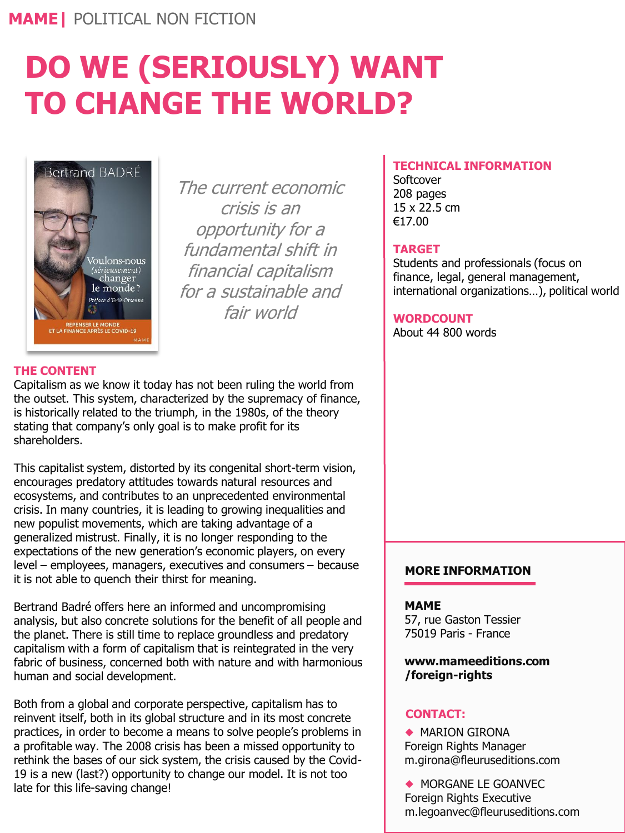# **DO WE (SERIOUSLY) WANT TO CHANGE THE WORLD?**



The current economic crisis is an opportunity for a fundamental shift in financial capitalism for a sustainable and fair world

# **TECHNICAL INFORMATION**

**Softcover** 208 pages 15 x 22.5 cm €17.00

# **TARGET**

Students and professionals (focus on finance, legal, general management, international organizations…), political world

## **WORDCOUNT**

About 44 800 words

# **THE CONTENT**

Capitalism as we know it today has not been ruling the world from the outset. This system, characterized by the supremacy of finance, is historically related to the triumph, in the 1980s, of the theory stating that company's only goal is to make profit for its shareholders.

This capitalist system, distorted by its congenital short-term vision, encourages predatory attitudes towards natural resources and ecosystems, and contributes to an unprecedented environmental crisis. In many countries, it is leading to growing inequalities and new populist movements, which are taking advantage of a generalized mistrust. Finally, it is no longer responding to the expectations of the new generation's economic players, on every level – employees, managers, executives and consumers – because it is not able to quench their thirst for meaning.

Bertrand Badré offers here an informed and uncompromising analysis, but also concrete solutions for the benefit of all people and the planet. There is still time to replace groundless and predatory capitalism with a form of capitalism that is reintegrated in the very fabric of business, concerned both with nature and with harmonious human and social development.

Both from a global and corporate perspective, capitalism has to reinvent itself, both in its global structure and in its most concrete practices, in order to become a means to solve people's problems in a profitable way. The 2008 crisis has been a missed opportunity to rethink the bases of our sick system, the crisis caused by the Covid-19 is a new (last?) opportunity to change our model. It is not too late for this life-saving change!

# **MORE INFORMATION**

#### **MAME**

57, rue Gaston Tessier 75019 Paris - France

#### **www.mameeditions.com /foreign-rights**

## **CONTACT:**

◆ MARION GIRONA Foreign Rights Manager m.girona@fleuruseditions.com

◆ MORGANE LE GOANVEC Foreign Rights Executive m.legoanvec@fleuruseditions.com